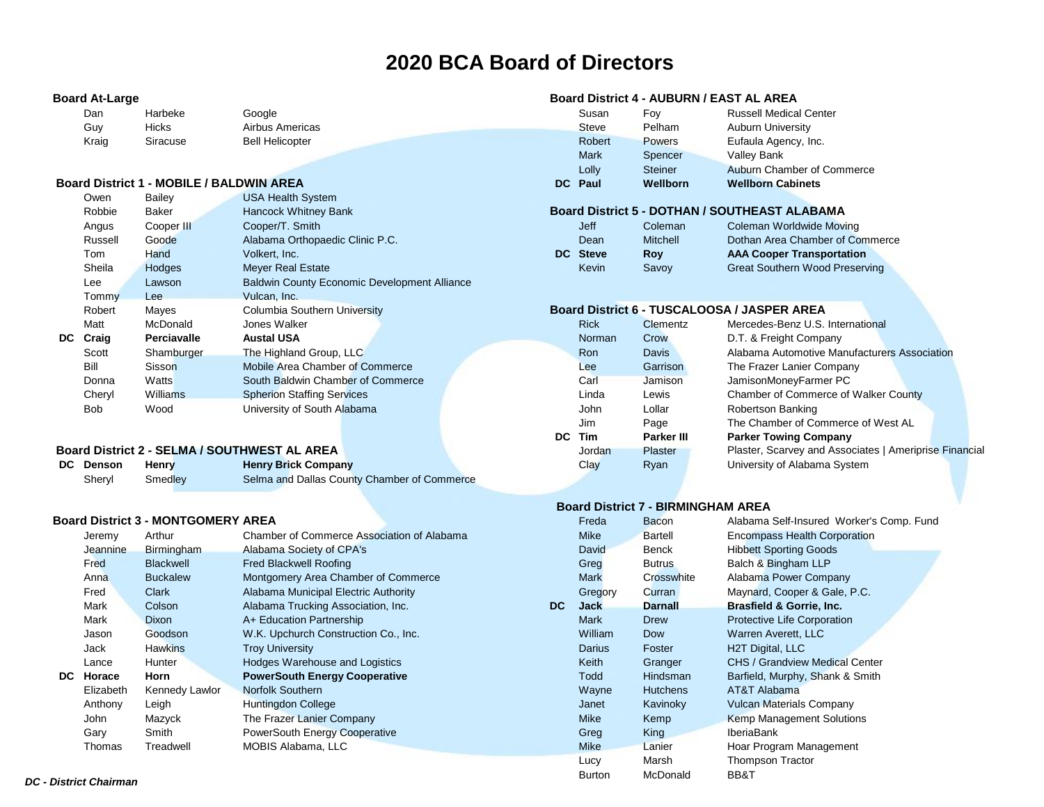# **2020 BCA Board of Directors**

| Dan   | Harbeke  | Google                 |
|-------|----------|------------------------|
| Guy   | Hicks    | Airbus America         |
| Kraig | Siracuse | <b>Bell Helicopter</b> |

#### **Board District 1 - MOBILE / BALDWIN AREA <b>DECAM DECAM DECAM DECAM DECAM DECAM DECAM DECAM DECAM DECAM DECAM DECAM DECAM DECAM DECAM DECAM DECAM DECAM DECAM DECAM DECAM DECAM DE**

| Owen       | Bailey          | <b>USA Health System</b>                            |               |            |                                                      |
|------------|-----------------|-----------------------------------------------------|---------------|------------|------------------------------------------------------|
| Robbie     | Baker           | Hancock Whitney Bank                                |               |            | <b>Board District 5 - DOTHAN / SOUTHEAST ALABAMA</b> |
| Angus      | Cooper III      | Cooper/T. Smith                                     | <b>Jeff</b>   | Coleman    | Coleman Worldwide Moving                             |
| Russell    | Goode           | Alabama Orthopaedic Clinic P.C.                     | Dean          | Mitchell   | Dothan Area Chamber of Commerce                      |
| Tom        | Hand            | Volkert, Inc.                                       | DC Steve      | <b>Roy</b> | <b>AAA Cooper Transportation</b>                     |
| Sheila     | Hodges          | <b>Meyer Real Estate</b>                            | Kevin         | Savoy      | <b>Great Southern Wood Preserving</b>                |
| Lee        | Lawson          | <b>Baldwin County Economic Development Alliance</b> |               |            |                                                      |
| Tommy      | <b>Lee</b>      | Vulcan, Inc.                                        |               |            |                                                      |
| Robert     | Mayes           | <b>Columbia Southern University</b>                 |               |            | Board District 6 - TUSCALOOSA / JASPER AREA          |
| Matt       | McDonald        | Jones Walker                                        | <b>Rick</b>   | Clementz   | Mercedes-Benz U.S. International                     |
| DC Craig   | Perciavalle     | <b>Austal USA</b>                                   | <b>Norman</b> | Crow       | D.T. & Freight Company                               |
| Scott      | Shamburger      | The Highland Group, LLC                             | Ron           | Davis      | Alabama Automotive Manufacturers Association         |
| Bill       | Sisson          | Mobile Area Chamber of Commerce                     | Lee           | Garrison   | The Frazer Lanier Company                            |
| Donna      | Watts           | South Baldwin Chamber of Commerce                   | Carl          | Jamison    | JamisonMoneyFarmer PC                                |
| Cheryl     | <b>Williams</b> | <b>Spherion Staffing Services</b>                   | Linda         | Lewis      | Chamber of Commerce of Walker County                 |
| <b>Bob</b> | Wood            | University of South Alabama                         | John          | Lollar     | Robertson Banking                                    |

### **Board District 2 - SELMA / SOUTHWEST AL AREA**

| DC Denson | <b>Henry</b> | <b>Henry Brick Company</b>                  | Clav | Rvan | University of Alabama System |
|-----------|--------------|---------------------------------------------|------|------|------------------------------|
| Shervl    | Smedlev      | Selma and Dallas County Chamber of Commerce |      |      |                              |

#### **Board District 3 - MONTGOMERY AREA Freda** Bacon Alabama Self-Insured Worker's Comp. Fund

|    | Jeremy    | Arthur           | Chamber of Commerce Association of Alabama |     | <b>Mike</b>   | Bartell         | <b>Encompass Health Corporation</b>   |
|----|-----------|------------------|--------------------------------------------|-----|---------------|-----------------|---------------------------------------|
|    | Jeannine  | Birmingham       | Alabama Society of CPA's                   |     | David         | Benck           | <b>Hibbett Sporting Goods</b>         |
|    | Fred      | <b>Blackwell</b> | Fred Blackwell Roofing                     |     | Greg          | <b>Butrus</b>   | Balch & Bingham LLP                   |
|    | Anna      | <b>Buckalew</b>  | Montgomery Area Chamber of Commerce        |     | <b>Mark</b>   | Crosswhite      | Alabama Power Company                 |
|    | Fred      | Clark            | Alabama Municipal Electric Authority       |     | Gregory       | Curran          | Maynard, Cooper & Gale, P.C.          |
|    | Mark      | Colson           | Alabama Trucking Association, Inc.         | DC. | <b>Jack</b>   | <b>Darnall</b>  | <b>Brasfield &amp; Gorrie, Inc.</b>   |
|    | Mark      | Dixon            | A+ Education Partnership                   |     | <b>Mark</b>   | <b>Drew</b>     | Protective Life Corporation           |
|    | Jason     | Goodson          | W.K. Upchurch Construction Co., Inc.       |     | William       | <b>Dow</b>      | Warren Averett, LLC                   |
|    | Jack      | <b>Hawkins</b>   | <b>Troy University</b>                     |     | Darius        | Foster          | H2T Digital, LLC                      |
|    | Lance     | Hunter           | Hodges Warehouse and Logistics             |     | Keith         | Granger         | <b>CHS / Grandview Medical Center</b> |
| DC | Horace    | Horn             | <b>PowerSouth Energy Cooperative</b>       |     | Todd          | <b>Hindsman</b> | Barfield, Murphy, Shank & Smith       |
|    | Elizabeth | Kennedy Lawlor   | Norfolk Southern                           |     | Wayne         | <b>Hutchens</b> | AT&T Alabama                          |
|    | Anthony   | Leigh            | Huntingdon College                         |     | Janet         | Kavinoky        | <b>Vulcan Materials Company</b>       |
|    | John      | Mazyck           | The Frazer Lanier Company                  |     | <b>Mike</b>   | Kemp            | <b>Kemp Management Solutions</b>      |
|    | Gary      | Smith            | PowerSouth Energy Cooperative              |     | Greg          | King            | <b>IberiaBank</b>                     |
|    | Thomas    | Treadwell        | MOBIS Alabama, LLC                         |     | <b>Mike</b>   | Lanier          | Hoar Program Management               |
|    |           |                  |                                            |     | Lucy          | Marsh           | <b>Thompson Tractor</b>               |
|    |           |                  |                                            |     | <b>Burton</b> | McDonald        | BB&T                                  |

# **Board At-Large Board District 4 - AUBURN / EAST AL AREA**

| Dan   | Harbeke  | Google                               | Susan          | Fov            | <b>Russell Medical Center</b> |
|-------|----------|--------------------------------------|----------------|----------------|-------------------------------|
| Guy   | Hicks    | Airbus Americas                      | Steve          | Pelham         | <b>Auburn University</b>      |
| Kraig | Siracuse | <b>Bell Helicopter</b>               | Robert         | <b>Powers</b>  | Eufaula Agency, Inc.          |
|       |          |                                      | <b>Mark</b>    | Spencer        | <b>Valley Bank</b>            |
|       |          |                                      | Lollv          | <b>Steiner</b> | Auburn Chamber of Commerce    |
|       |          | d District 1 - MOBILE / BALDWIN AREA | <b>DC</b> Paul | Wellborn       | <b>Wellborn Cabinets</b>      |
|       |          |                                      |                |                |                               |

# **Board District 5 - DOTHAN / SOUTHEAST ALABAMA**

| <b>Jeff</b> | Coleman         | Coleman Worldwide Moving              |  |
|-------------|-----------------|---------------------------------------|--|
| Dean        | <b>Mitchell</b> | Dothan Area Chamber of Commerce       |  |
| DC Steve    | Rov             | <b>AAA Cooper Transportation</b>      |  |
| Kevin       | Savoy           | <b>Great Southern Wood Preserving</b> |  |

# **Board District 6 - TUSCALOOSA / JASPER AREA**

|     | <b>Rick</b> | <b>Clementz</b> | Mercedes-Benz U.S. International                       |
|-----|-------------|-----------------|--------------------------------------------------------|
|     | Norman      | Crow            | D.T. & Freight Company                                 |
|     | Ron         | Davis           | Alabama Automotive Manufacturers Association           |
|     | Lee         | Garrison        | The Frazer Lanier Company                              |
|     | Carl        | Jamison         | JamisonMoneyFarmer PC                                  |
|     | Linda       | I ewis          | Chamber of Commerce of Walker County                   |
|     | John        | Lollar          | Robertson Banking                                      |
|     | <b>Jim</b>  | Page            | The Chamber of Commerce of West AL                     |
| DC. | Tim         | Parker III      | <b>Parker Towing Company</b>                           |
|     | Jordan      | Plaster         | Plaster, Scarvey and Associates   Ameriprise Financial |
|     | Clay        | Ryan            | University of Alabama System                           |
|     |             |                 |                                                        |

# **Board District 7 - BIRMINGHAM AREA**<br>Freda Bacon Alabama 9